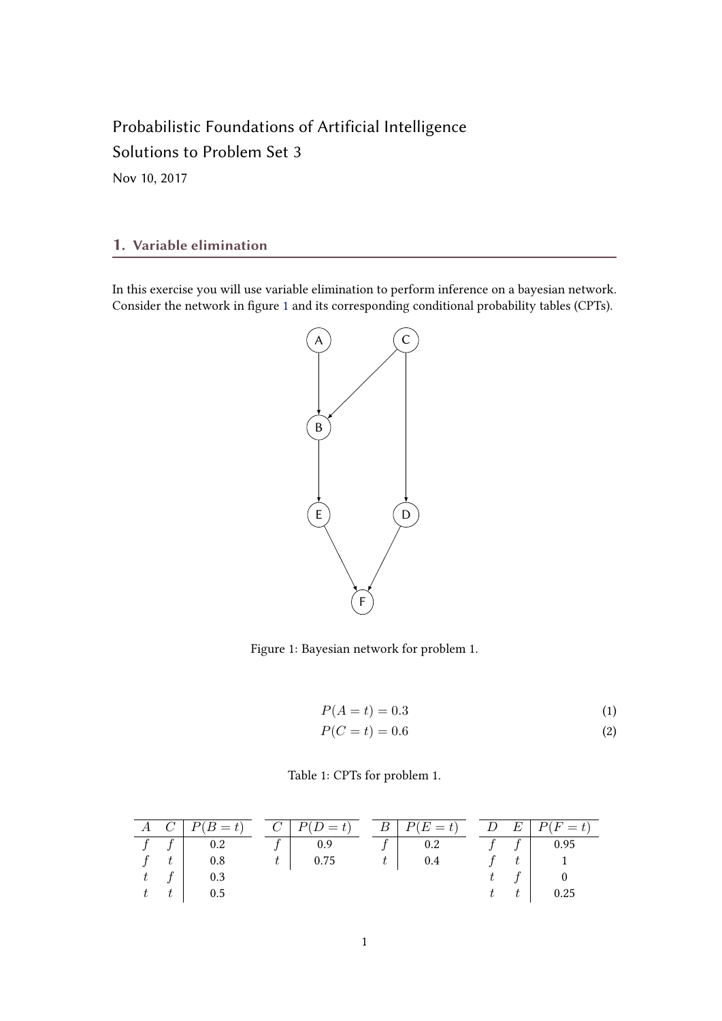# Probabilistic Foundations of Artificial Intelligence Solutions to Problem Set 3

Nov 10, 2017

## 1. Variable elimination

In this exercise you will use variable elimination to perform inference on a bayesian network. Consider the network in figure 1 and its corresponding conditional probability tables (CPTs).



Figure 1: Bayesian network for problem 1.

$$
P(A = t) = 0.3\tag{1}
$$

$$
P(C=t) = 0.6\tag{2}
$$

Table 1: CPTs for problem 1.

|             | $A \quad C \mid P(B = t) \quad C \mid P(D = t) \quad B \mid P(E = t) \quad D \mid E \mid P(F = t)$ |  |  |  |      |
|-------------|----------------------------------------------------------------------------------------------------|--|--|--|------|
|             |                                                                                                    |  |  |  |      |
|             |                                                                                                    |  |  |  |      |
| $t \quad f$ | 0.3                                                                                                |  |  |  |      |
| $t \quad t$ | $\vert$ 0.5                                                                                        |  |  |  | 0.25 |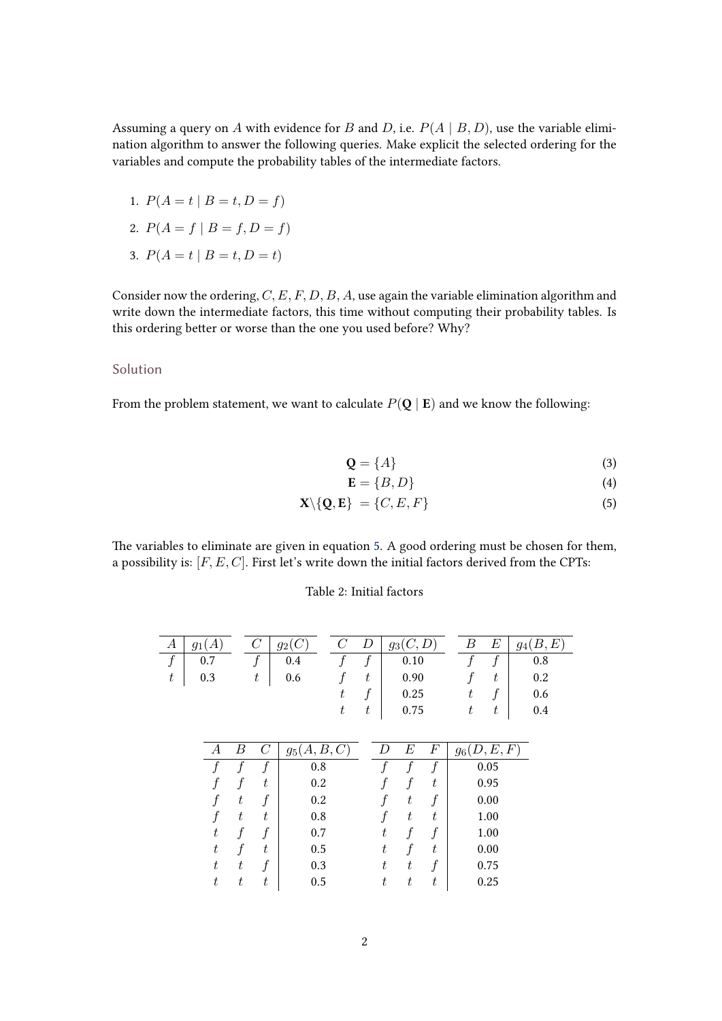Assuming a query on A with evidence for B and D, i.e.  $P(A | B, D)$ , use the variable elimination algorithm to answer the following queries. Make explicit the selected ordering for the variables and compute the probability tables of the intermediate factors.

- 1.  $P(A = t | B = t, D = f)$
- 2.  $P(A = f | B = f, D = f)$
- 3.  $P(A = t | B = t, D = t)$

Consider now the ordering,  $C, E, F, D, B, A$ , use again the variable elimination algorithm and write down the intermediate factors, this time without computing their probability tables. Is this ordering better or worse than the one you used before? Why?

## Solution

From the problem statement, we want to calculate  $P(\mathbf{Q} | \mathbf{E})$  and we know the following:

$$
\mathbf{Q} = \{A\} \tag{3}
$$

$$
\mathbf{E} = \{B, D\} \tag{4}
$$

$$
\mathbf{X} \setminus \{ \mathbf{Q}, \mathbf{E} \} = \{ C, E, F \} \tag{5}
$$

The variables to eliminate are given in equation 5. A good ordering must be chosen for them, a possibility is:  $[F, E, C]$ . First let's write down the initial factors derived from the CPTs:

## Table 2: Initial factors

|   |                                     |  |  | $A \mid g_1(A)$ $C \mid g_2(C)$ $C \mid D \mid g_3(C,D)$ $B \mid E \mid g_4(B,E)$               |  |                  |                      |
|---|-------------------------------------|--|--|-------------------------------------------------------------------------------------------------|--|------------------|----------------------|
|   | 0.7                                 |  |  | $\begin{array}{ c c c c c }\hline f&0.4&&f&f&0.10\ \hline t&0.6&&f&t&0.90 \ \hline \end{array}$ |  |                  | $f \quad f \mid 0.8$ |
| t | $\begin{array}{ c} 0.3 \end{array}$ |  |  |                                                                                                 |  |                  | 0.2                  |
|   |                                     |  |  | 0.25                                                                                            |  | $t \quad f \mid$ | 0.6                  |
|   |                                     |  |  | 0.75                                                                                            |  |                  | 0.4                  |

| A | В  | $\overline{C}$ | A, B,<br>C<br>95 ( |   | E | $\boldsymbol{F}$ | (D,E,F)<br>96 |
|---|----|----------------|--------------------|---|---|------------------|---------------|
|   |    |                | 0.8                |   |   |                  | 0.05          |
|   |    | t              | 0.2                |   |   | t                | 0.95          |
|   | t  |                | 0.2                |   | t |                  | 0.00          |
|   | t  | t              | 0.8                |   | t | t                | 1.00          |
| t |    |                | 0.7                | t |   |                  | 1.00          |
| t |    | t              | 0.5                | t |   | t                | 0.00          |
| t | t, |                | 0.3                | t | t |                  | 0.75          |
| t | t  | t              | 0.5                | t | t | t                | 0.25          |
|   |    |                |                    |   |   |                  |               |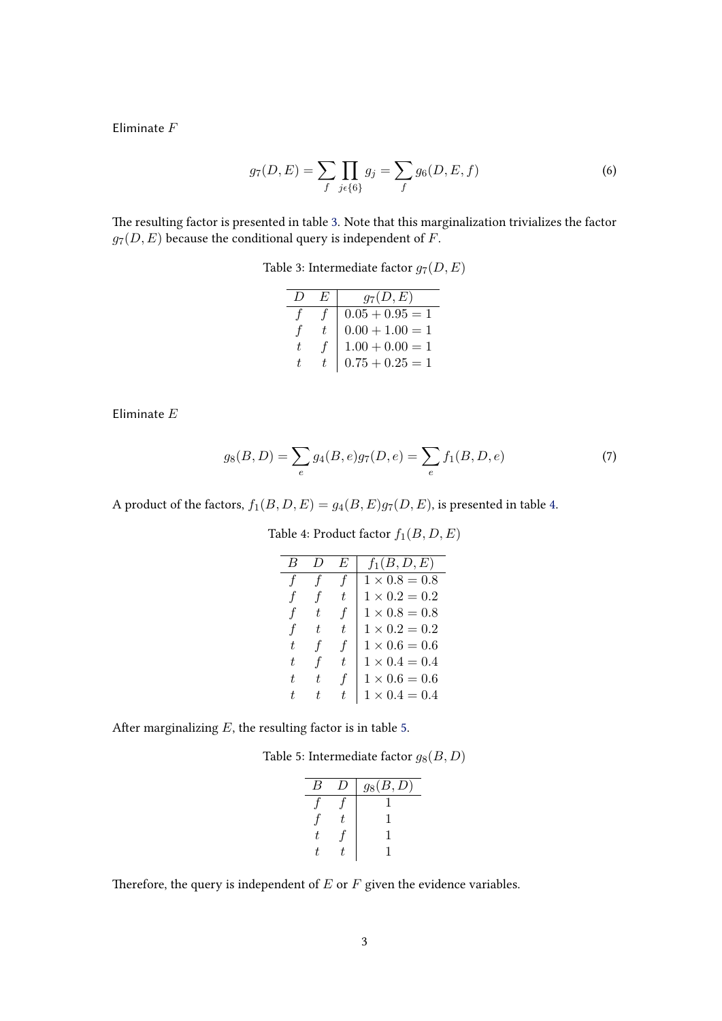Eliminate F

$$
g_7(D, E) = \sum_f \prod_{j \in \{6\}} g_j = \sum_f g_6(D, E, f) \tag{6}
$$

The resulting factor is presented in table 3. Note that this marginalization trivializes the factor  $g_7(D,E)$  because the conditional query is independent of  $F.$ 

Table 3: Intermediate factor  $g_7(D, E)$ 

|    | E  | $g_7(D,E)$        |
|----|----|-------------------|
|    |    | $0.05 + 0.95 = 1$ |
|    | t. | $0.00 + 1.00 = 1$ |
| t. | f  | $1.00 + 0.00 = 1$ |
| t. |    | $0.75 + 0.25 = 1$ |

Eliminate  $\cal E$ 

$$
g_8(B,D) = \sum_e g_4(B,e)g_7(D,e) = \sum_e f_1(B,D,e)
$$
\n(7)

A product of the factors,  $f_1(B, D, E) = g_4(B, E)g_7(D, E)$ , is presented in table 4.

|                     |                     | F                   | $f_1(B, D, E)$       |
|---------------------|---------------------|---------------------|----------------------|
| $\boldsymbol{\tau}$ | $\boldsymbol{\tau}$ | $\boldsymbol{\tau}$ | $1 \times 0.8 = 0.8$ |
| Ť                   | $\boldsymbol{\tau}$ | t                   | $1 \times 0.2 = 0.2$ |
| Ť                   | t.                  | f                   | $1 \times 0.8 = 0.8$ |
| Ŧ                   | t.                  | t.                  | $1 \times 0.2 = 0.2$ |
| t.                  | $\boldsymbol{t}$    | f                   | $1 \times 0.6 = 0.6$ |
| t.                  | Ŧ                   | t.                  | $1 \times 0.4 = 0.4$ |
| t.                  |                     | f                   | $1 \times 0.6 = 0.6$ |
|                     |                     | t.                  | $1 \times 0.4 = 0.4$ |

Table 4: Product factor  $f_1(B, D, E)$ 

After marginalizing  $E$ , the resulting factor is in table 5.

Table 5: Intermediate factor  $g_8(B, D)$ 

|  | $g_8(B,D)$ |
|--|------------|
|  |            |
|  |            |
|  |            |
|  |            |

Therefore, the query is independent of  $E$  or  $F$  given the evidence variables.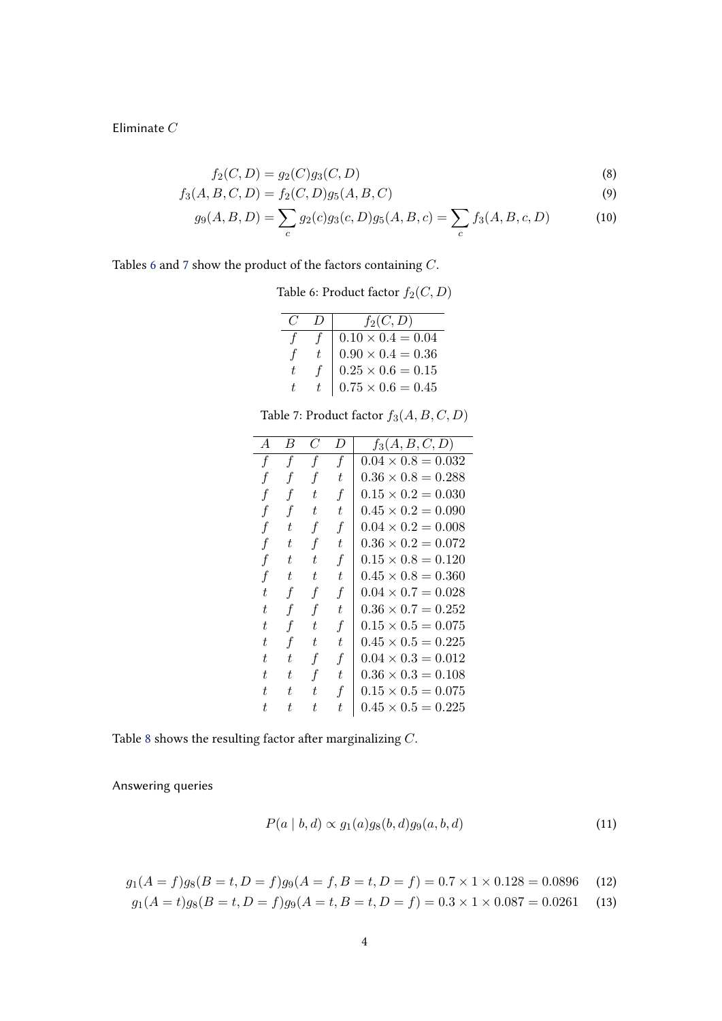<span id="page-3-0"></span>Eliminate  $C$ 

$$
f_2(C, D) = g_2(C)g_3(C, D)
$$
\n(8)

$$
f_3(A, B, C, D) = f_2(C, D)g_5(A, B, C)
$$
\n(9)

$$
g_9(A, B, D) = \sum_c g_2(c)g_3(c, D)g_5(A, B, c) = \sum_c f_3(A, B, c, D)
$$
 (10)

Tables 6 and 7 show the product of the factors containing  $\mathbb{C}.$ 

Table 6: Product factor  $f_2(C, D)$ 

|    | $f_2(C,D)$                                                                                                   |
|----|--------------------------------------------------------------------------------------------------------------|
|    |                                                                                                              |
| f  |                                                                                                              |
| t. |                                                                                                              |
|    | $0.10 \times 0.4 = 0.04$<br>$0.90 \times 0.4 = 0.36$<br>$0.25 \times 0.6 = 0.15$<br>$0.75 \times 0.6 = 0.45$ |

Table 7: Product factor  $f_3(A, B, C, D)$ 

| $\overline{A}$ | В  | C                | $\iota$          | $f_3(A, B, C, D)$         |
|----------------|----|------------------|------------------|---------------------------|
| f              | f  | f                | $\mathbf f$      | $0.04 \times 0.8 = 0.032$ |
| f              |    | f                | t                | $0.36 \times 0.8 = 0.288$ |
| f              | f  | t.               | f                | $0.15 \times 0.2 = 0.030$ |
| f              | f  | t                | t                | $0.45 \times 0.2 = 0.090$ |
| f              | t  | $\boldsymbol{f}$ | $\boldsymbol{f}$ | $0.04 \times 0.2 = 0.008$ |
| f              | ŧ  | f                | t.               | $0.36 \times 0.2 = 0.072$ |
| f              | ŧ  | t                | f                | $0.15 \times 0.8 = 0.120$ |
| f              | t  | t                | t                | $0.45 \times 0.8 = 0.360$ |
| t.             | f  | f                | f                | $0.04 \times 0.7 = 0.028$ |
| t              | f  | f                | t                | $0.36 \times 0.7 = 0.252$ |
| t              | f  | t.               | $\boldsymbol{f}$ | $0.15 \times 0.5 = 0.075$ |
| t              | f  | t.               | t                | $0.45 \times 0.5 = 0.225$ |
| t.             | t. | $\boldsymbol{f}$ | f                | $0.04 \times 0.3 = 0.012$ |
| t              | ŧ  | f                | t                | $0.36 \times 0.3 = 0.108$ |
| t.             | t. | t.               | $\mathbf f$      | $0.15 \times 0.5 = 0.075$ |
| t.             | t. | t.               | t.               | $0.45 \times 0.5 = 0.225$ |

Table [8](#page-4-0) shows the resulting factor after marginalizing  $C$ .

Answering queries

$$
P(a | b, d) \propto g_1(a)g_8(b, d)g_9(a, b, d)
$$
\n(11)

$$
g_1(A = f)g_8(B = t, D = f)g_9(A = f, B = t, D = f) = 0.7 \times 1 \times 0.128 = 0.0896 \tag{12}
$$

$$
g_1(A = t)g_8(B = t, D = f)g_9(A = t, B = t, D = f) = 0.3 \times 1 \times 0.087 = 0.0261
$$
 (13)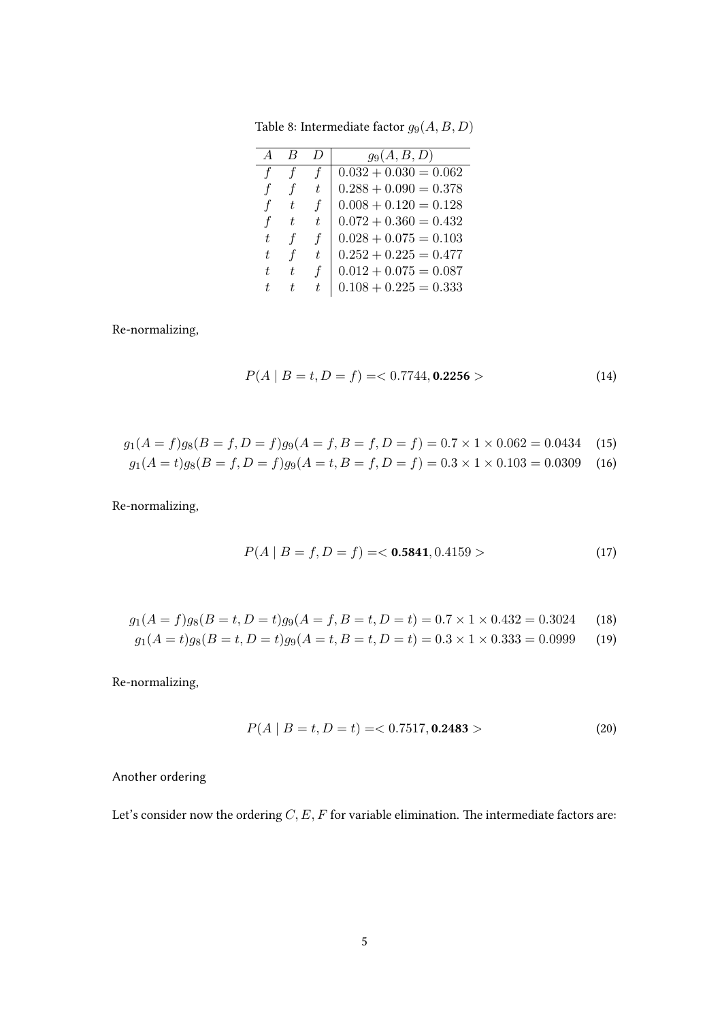|    |               |                  | $g_9(A, B, D)$          |
|----|---------------|------------------|-------------------------|
|    |               |                  | $0.032 + 0.030 = 0.062$ |
|    |               | t.               | $0.288 + 0.090 = 0.378$ |
|    | t,            | $\boldsymbol{f}$ | $0.008 + 0.120 = 0.128$ |
| f  | t.            | t.               | $0.072 + 0.360 = 0.432$ |
| t. | $\mathcal{F}$ | $\mathbf f$      | $0.028 + 0.075 = 0.103$ |
| t. |               | t.               | $0.252 + 0.225 = 0.477$ |
| t. | t.            | f                | $0.012 + 0.075 = 0.087$ |
| t. |               | t.               | $0.108 + 0.225 = 0.333$ |

<span id="page-4-0"></span>Table 8: Intermediate factor  $g_9(A, B, D)$ 

Re-normalizing,

$$
P(A \mid B = t, D = f) = <0.7744, \textbf{0.2256}> \tag{14}
$$

$$
g_1(A = f)g_8(B = f, D = f)g_9(A = f, B = f, D = f) = 0.7 \times 1 \times 0.062 = 0.0434 \quad (15)
$$

$$
g_1(A = t)g_8(B = f, D = f)g_9(A = t, B = f, D = f) = 0.3 \times 1 \times 0.103 = 0.0309 \quad (16)
$$

Re-normalizing,

$$
P(A \mid B = f, D = f) = 0.5841, 0.4159 > \tag{17}
$$

$$
g_1(A = f)g_8(B = t, D = t)g_9(A = f, B = t, D = t) = 0.7 \times 1 \times 0.432 = 0.3024
$$
 (18)

$$
g_1(A = t)g_8(B = t, D = t)g_9(A = t, B = t, D = t) = 0.3 \times 1 \times 0.333 = 0.0999
$$
 (19)

Re-normalizing,

$$
P(A \mid B = t, D = t) = \langle 0.7517, \mathbf{0.2483} \rangle \tag{20}
$$

Another ordering

Let's consider now the ordering  $C, E, F$  for variable elimination. The intermediate factors are: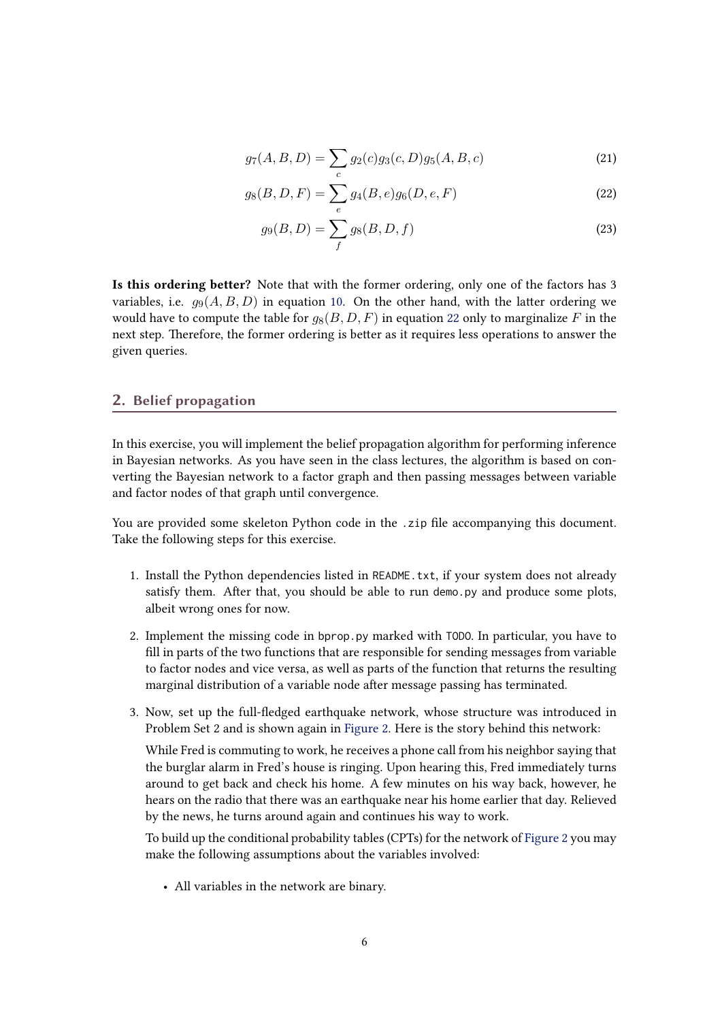$$
g_7(A, B, D) = \sum_c g_2(c)g_3(c, D)g_5(A, B, c)
$$
\n(21)

$$
g_8(B, D, F) = \sum_e g_4(B, e)g_6(D, e, F)
$$
\n(22)

$$
g_9(B, D) = \sum_f g_8(B, D, f)
$$
 (23)

Is this ordering better? Note that with the former ordering, only one of the factors has 3 variables, i.e.  $q_9(A, B, D)$  in equation [10.](#page-3-0) On the other hand, with the latter ordering we would have to compute the table for  $q_8(B, D, F)$  in equation 22 only to marginalize F in the next step. Therefore, the former ordering is better as it requires less operations to answer the given queries.

### 2. Belief propagation

In this exercise, you will implement the belief propagation algorithm for performing inference in Bayesian networks. As you have seen in the class lectures, the algorithm is based on converting the Bayesian network to a factor graph and then passing messages between variable and factor nodes of that graph until convergence.

You are provided some skeleton Python code in the .zip file accompanying this document. Take the following steps for this exercise.

- 1. Install the Python dependencies listed in README.txt, if your system does not already satisfy them. After that, you should be able to run demo.py and produce some plots, albeit wrong ones for now.
- 2. Implement the missing code in bprop.py marked with TODO. In particular, you have to fill in parts of the two functions that are responsible for sending messages from variable to factor nodes and vice versa, as well as parts of the function that returns the resulting marginal distribution of a variable node after message passing has terminated.
- 3. Now, set up the full-edged earthquake network, whose structure was introduced in Problem Set 2 and is shown again in [Figure 2.](#page-6-0) Here is the story behind this network:

While Fred is commuting to work, he receives a phone call from his neighbor saying that the burglar alarm in Fred's house is ringing. Upon hearing this, Fred immediately turns around to get back and check his home. A few minutes on his way back, however, he hears on the radio that there was an earthquake near his home earlier that day. Relieved by the news, he turns around again and continues his way to work.

To build up the conditional probability tables (CPTs) for the network of [Figure 2](#page-6-0) you may make the following assumptions about the variables involved:

• All variables in the network are binary.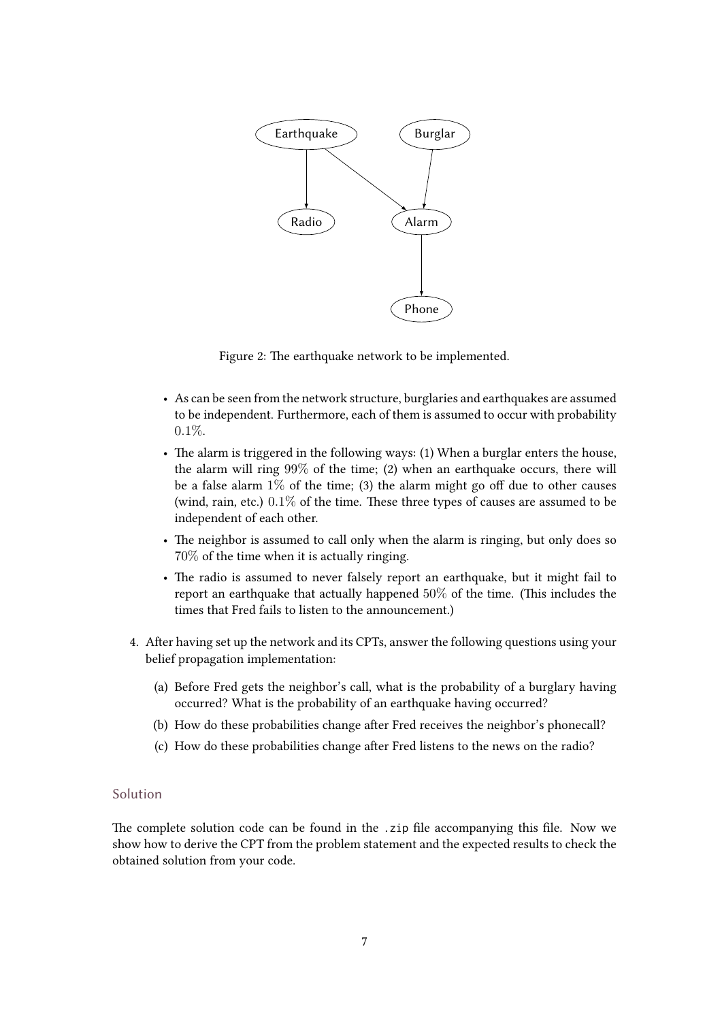<span id="page-6-0"></span>

Figure 2: The earthquake network to be implemented.

- As can be seen from the network structure, burglaries and earthquakes are assumed to be independent. Furthermore, each of them is assumed to occur with probability 0.1%.
- The alarm is triggered in the following ways: (1) When a burglar enters the house, the alarm will ring 99% of the time; (2) when an earthquake occurs, there will be a false alarm  $1\%$  of the time; (3) the alarm might go off due to other causes (wind, rain, etc.)  $0.1\%$  of the time. These three types of causes are assumed to be independent of each other.
- The neighbor is assumed to call only when the alarm is ringing, but only does so 70% of the time when it is actually ringing.
- The radio is assumed to never falsely report an earthquake, but it might fail to report an earthquake that actually happened  $50\%$  of the time. (This includes the times that Fred fails to listen to the announcement.)
- 4. After having set up the network and its CPTs, answer the following questions using your belief propagation implementation:
	- (a) Before Fred gets the neighbor's call, what is the probability of a burglary having occurred? What is the probability of an earthquake having occurred?
	- (b) How do these probabilities change after Fred receives the neighbor's phonecall?
	- (c) How do these probabilities change after Fred listens to the news on the radio?

### Solution

The complete solution code can be found in the .zip file accompanying this file. Now we show how to derive the CPT from the problem statement and the expected results to check the obtained solution from your code.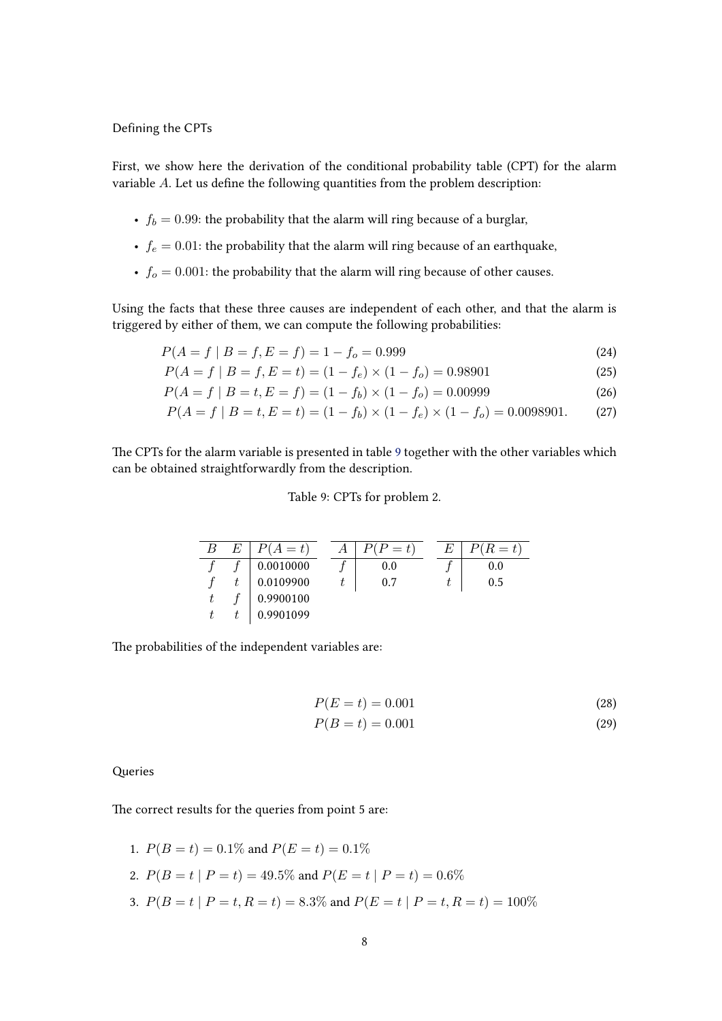#### Defining the CPTs

First, we show here the derivation of the conditional probability table (CPT) for the alarm variable  $A$ . Let us define the following quantities from the problem description:

- $f_b = 0.99$ : the probability that the alarm will ring because of a burglar,
- $f_e = 0.01$ : the probability that the alarm will ring because of an earthquake,
- $f<sub>o</sub> = 0.001$ : the probability that the alarm will ring because of other causes.

Using the facts that these three causes are independent of each other, and that the alarm is triggered by either of them, we can compute the following probabilities:

$$
P(A = f | B = f, E = f) = 1 - fo = 0.999
$$
\n(24)

$$
P(A = f | B = f, E = t) = (1 - f_e) \times (1 - f_o) = 0.98901
$$
\n(25)

$$
P(A = f | B = t, E = f) = (1 - f_b) \times (1 - f_o) = 0.00999
$$
\n(26)

$$
P(A = f | B = t, E = t) = (1 - f_b) \times (1 - f_e) \times (1 - f_o) = 0.0098901.
$$
 (27)

The CPTs for the alarm variable is presented in table 9 together with the other variables which can be obtained straightforwardly from the description.

### Table 9: CPTs for problem 2.

| B | E | $A=t$     | $(P = t)$ | F. | $P(R = t)$ |
|---|---|-----------|-----------|----|------------|
|   |   | 0.0010000 | 0.0       |    | 0.0        |
|   |   | 0.0109900 | 0.7       |    | 0.5        |
|   |   | 0.9900100 |           |    |            |
|   |   | 0.9901099 |           |    |            |

The probabilities of the independent variables are:

$$
P(E = t) = 0.001
$$
\n(28)

$$
P(B = t) = 0.001
$$
 (29)

Queries

The correct results for the queries from point 5 are:

\n- 1. 
$$
P(B = t) = 0.1\%
$$
 and  $P(E = t) = 0.1\%$
\n- 2.  $P(B = t | P = t) = 49.5\%$  and  $P(E = t | P = t) = 0.6\%$
\n- 3.  $P(B = t | P = t, R = t) = 8.3\%$  and  $P(E = t | P = t, R = t) = 100\%$
\n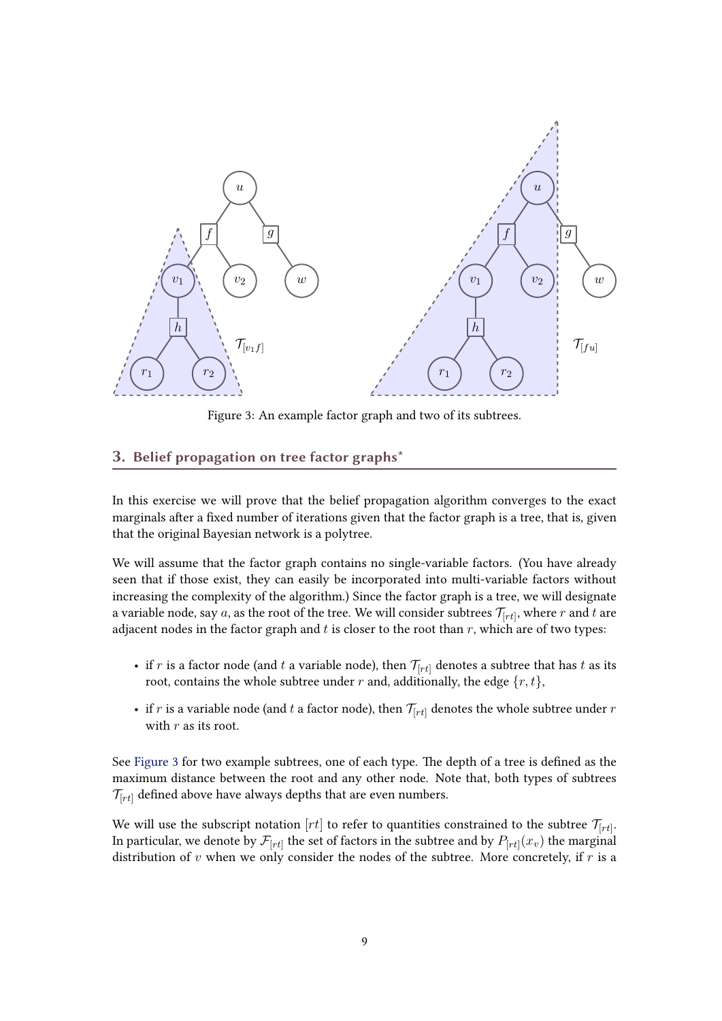<span id="page-8-0"></span>

Figure 3: An example factor graph and two of its subtrees.

## 3. Belief propagation on tree factor graphs\*

In this exercise we will prove that the belief propagation algorithm converges to the exact marginals after a fixed number of iterations given that the factor graph is a tree, that is, given that the original Bayesian network is a polytree.

We will assume that the factor graph contains no single-variable factors. (You have already seen that if those exist, they can easily be incorporated into multi-variable factors without increasing the complexity of the algorithm.) Since the factor graph is a tree, we will designate a variable node, say  $a$ , as the root of the tree. We will consider subtrees  $\mathcal{T}_{[rt]},$  where  $r$  and  $t$  are adjacent nodes in the factor graph and  $t$  is closer to the root than  $r$ , which are of two types:

- if r is a factor node (and t a variable node), then  $\mathcal{T}_{[rt]}$  denotes a subtree that has t as its root, contains the whole subtree under  $r$  and, additionally, the edge  $\{r, t\}$ ,
- if r is a variable node (and t a factor node), then  $\mathcal{T}_{[rt]}$  denotes the whole subtree under r with  $r$  as its root.

See Figure 3 for two example subtrees, one of each type. The depth of a tree is defined as the maximum distance between the root and any other node. Note that, both types of subtrees  $\mathcal{T}_{[rt]}$  defined above have always depths that are even numbers.

We will use the subscript notation  $[rt]$  to refer to quantities constrained to the subtree  $\mathcal{T}_{[rt]}$ . In particular, we denote by  $\mathcal{F}_{[rt]}$  the set of factors in the subtree and by  $P_{[rt]}(x_v)$  the marginal distribution of v when we only consider the nodes of the subtree. More concretely, if  $r$  is a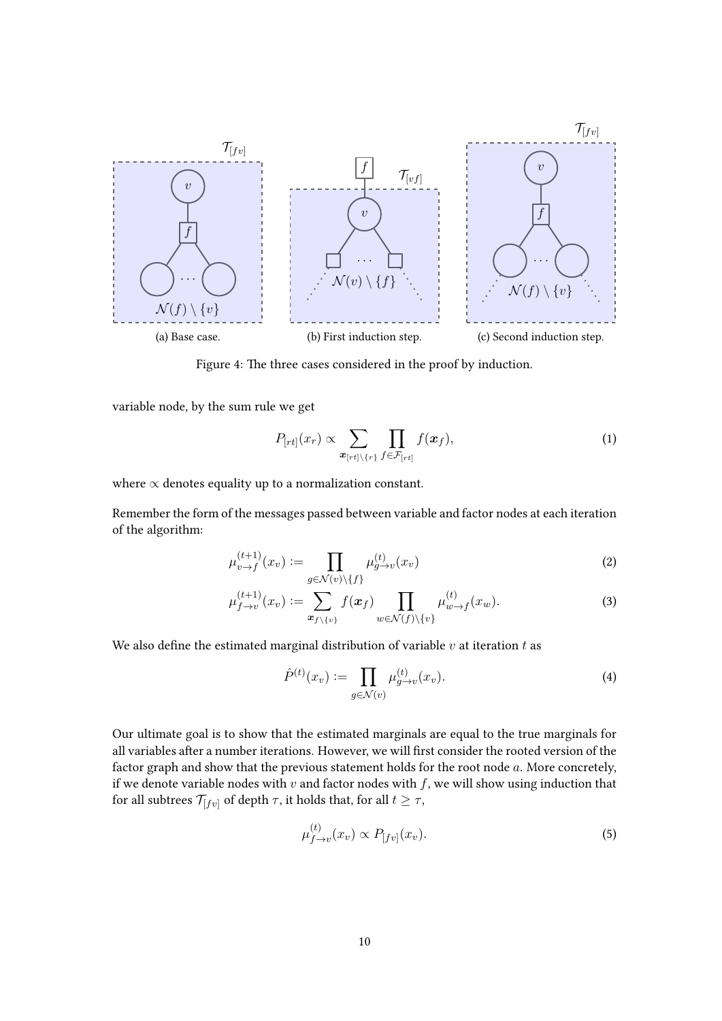

Figure 4: The three cases considered in the proof by induction.

variable node, by the sum rule we get

$$
P_{[rt]}(x_r) \propto \sum_{\mathbf{x}_{[rt]\backslash\{r\}}} \prod_{f \in \mathcal{F}_{[rt]}} f(\mathbf{x}_f), \tag{1}
$$

where  $\propto$  denotes equality up to a normalization constant.

Remember the form of the messages passed between variable and factor nodes at each iteration of the algorithm:

$$
\mu_{v \to f}^{(t+1)}(x_v) := \prod_{g \in \mathcal{N}(v) \setminus \{f\}} \mu_{g \to v}^{(t)}(x_v)
$$
\n<sup>(2)</sup>

$$
\mu_{f \to v}^{(t+1)}(x_v) := \sum_{\boldsymbol{x}_{f \setminus \{v\}}} f(\boldsymbol{x}_f) \prod_{w \in \mathcal{N}(f) \setminus \{v\}} \mu_{w \to f}^{(t)}(x_w). \tag{3}
$$

We also define the estimated marginal distribution of variable  $v$  at iteration  $t$  as

$$
\hat{P}^{(t)}(x_v) := \prod_{g \in \mathcal{N}(v)} \mu_{g \to v}^{(t)}(x_v). \tag{4}
$$

Our ultimate goal is to show that the estimated marginals are equal to the true marginals for all variables after a number iterations. However, we will first consider the rooted version of the factor graph and show that the previous statement holds for the root node  $a$ . More concretely, if we denote variable nodes with  $v$  and factor nodes with  $f$ , we will show using induction that for all subtrees  $\mathcal{T}_{[fv]}$  of depth  $\tau$ , it holds that, for all  $t \geq \tau$ ,

$$
\mu_{f \to v}^{(t)}(x_v) \propto P_{[fv]}(x_v). \tag{5}
$$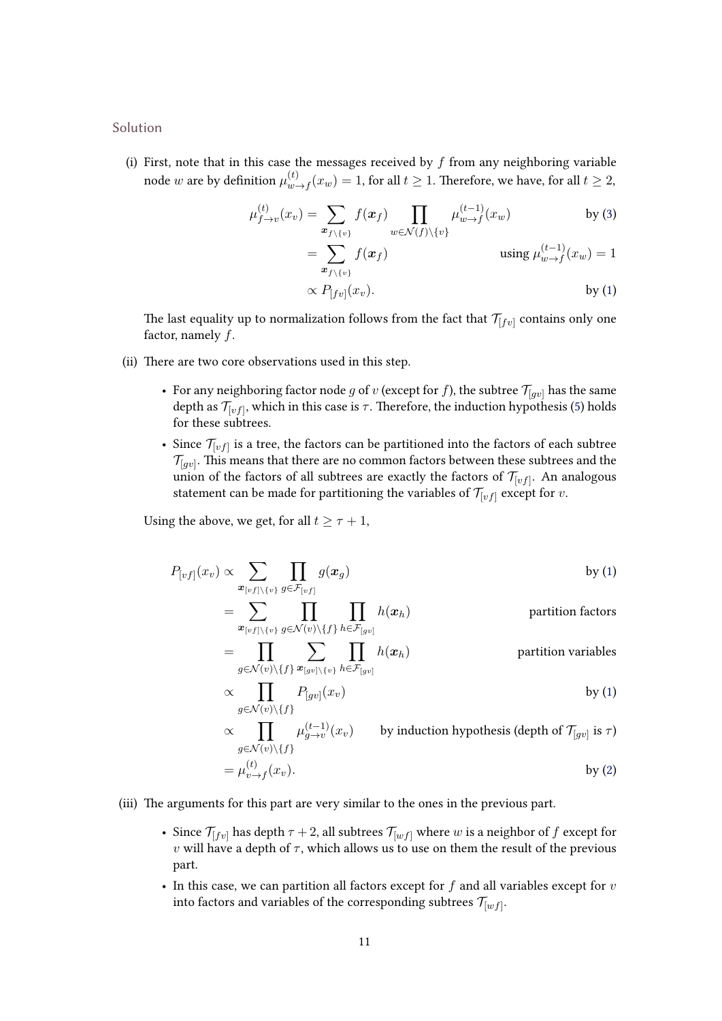Solution

(i) First, note that in this case the messages received by  $f$  from any neighboring variable node  $w$  are by definition  $\mu_{w}^{(t)}$  $\int_{w \to f}^{(t)}(x_w) = 1$ , for all  $t \geq 1$ . Therefore, we have, for all  $t \geq 2$ ,

$$
\mu_{f \to v}^{(t)}(x_v) = \sum_{\mathbf{x}_{f \setminus \{v\}}} f(\mathbf{x}_f) \prod_{w \in \mathcal{N}(f) \setminus \{v\}} \mu_{w \to f}^{(t-1)}(x_w) \qquad \text{by (3)}
$$

$$
= \sum_{\mathbf{x}_{f \setminus \{v\}}} f(\mathbf{x}_f) \qquad \text{using } \mu_{w \to f}^{(t-1)}(x_w) = 1
$$

$$
\propto P_{[fv]}(x_v).
$$
 by (1)

The last equality up to normalization follows from the fact that  $\mathcal{T}_{[fv]}$  contains only one factor, namely  $f$ .

- (ii) There are two core observations used in this step.
	- For any neighboring factor node  $g$  of  $v$  (except for  $f$ ), the subtree  $\mathcal{T}_{[gv]}$  has the same depth as  $\mathcal{T}_{[vf]}$ , which in this case is  $\tau.$  Therefore, the induction hypothesis [\(5\)](#page-8-0) holds for these subtrees.
	- Since  $\mathcal{T}_{[vf]}$  is a tree, the factors can be partitioned into the factors of each subtree  $\mathcal{T}_{[gv]}.$  This means that there are no common factors between these subtrees and the union of the factors of all subtrees are exactly the factors of  $\mathcal{T}_{[vf]}.$  An analogous statement can be made for partitioning the variables of  $\mathcal{T}_{[vf]}$  except for v.

Using the above, we get, for all  $t \geq \tau + 1$ ,

$$
P_{[vf]}(x_v) \propto \sum_{\mathbf{x}_{[vf] \setminus \{v\}} \in \mathcal{F}_{[vf]}} \prod_{g \in \mathcal{F}_{[vf]}} g(\mathbf{x}_g)
$$
 by (1)  
= 
$$
\sum_{\mathbf{p} \in \mathcal{F}_{[vf]}} \prod_{\mathbf{p} \in \mathcal{F}_{[vf]}} \prod_{\mathbf{p} \in \mathcal{F}_{[vf]}} h(\mathbf{x}_h)
$$
 partition factors

$$
\begin{aligned}\n& \begin{aligned}\n& \boldsymbol{x}_{[vf] \setminus \{v\}} \, g \in \mathcal{N}(v) \setminus \{f\} \, h \in \mathcal{F}_{[gv]} \\
&= \prod_{g \in \mathcal{N}(v) \setminus \{f\}} \sum_{\boldsymbol{x}_{[gv] \setminus \{v\}} \, h \in \mathcal{F}_{[gv]}} \prod_{h \in \mathcal{F}_{[gv]}} h(\boldsymbol{x}_h) \\
& \propto \prod_{h \in \mathcal{H}_{[gv]}} P_{[fw]}(\boldsymbol{x}_h) \n\end{aligned}\n\end{aligned}\n\quad\n\text{partition variables}
$$

$$
\left\{\prod_{g \in \mathcal{N}(v) \setminus \{f\}} P_{[gv]}(x_v) \right\} \qquad \qquad \text{by (1)}
$$

$$
\propto \prod_{g \in \mathcal{N}(v) \setminus \{f\}} \mu_{g \to v}^{(t-1)}(x_v) \qquad \text{by induction hypothesis (depth of } \mathcal{T}_{[gv]} \text{ is } \tau)
$$

$$
= \mu_{v \to f}^{(t)}(x_v).
$$
by (2)

- (iii) The arguments for this part are very similar to the ones in the previous part.
	- Since  $\mathcal{T}_{[fv]}$  has depth  $\tau + 2$ , all subtrees  $\mathcal{T}_{[wf]}$  where w is a neighbor of f except for v will have a depth of  $\tau$ , which allows us to use on them the result of the previous part.
	- In this case, we can partition all factors except for  $f$  and all variables except for  $v$ into factors and variables of the corresponding subtrees  $\mathcal{T}_{[wf]}.$